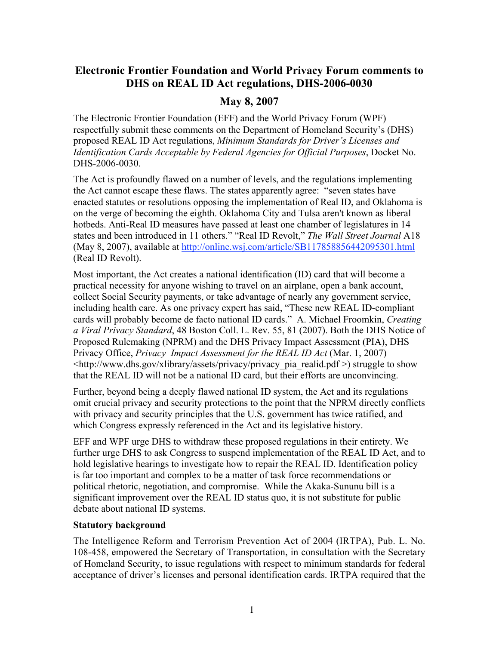# Electronic Frontier Foundation and World Privacy Forum comments to DHS on REAL ID Act regulations, DHS-2006-0030

## May 8, 2007

The Electronic Frontier Foundation (EFF) and the World Privacy Forum (WPF) respectfully submit these comments on the Department of Homeland Security's (DHS) proposed REAL ID Act regulations, *Minimum Standards for Driver's Licenses and Identification Cards Acceptable by Federal Agencies for Official Purposes*, Docket No. DHS-2006-0030.

The Act is profoundly flawed on a number of levels, and the regulations implementing the Act cannot escape these flaws. The states apparently agree: "seven states have enacted statutes or resolutions opposing the implementation of Real ID, and Oklahoma is on the verge of becoming the eighth. Oklahoma City and Tulsa aren't known as liberal hotbeds. Anti-Real ID measures have passed at least one chamber of legislatures in 14 states and been introduced in 11 others." "Real ID Revolt," *The Wall Street Journal* A18 (May 8, 2007), available at http://online.wsj.com/article/SB117858856442095301.html (Real ID Revolt).

Most important, the Act creates a national identification (ID) card that will become a practical necessity for anyone wishing to travel on an airplane, open a bank account, collect Social Security payments, or take advantage of nearly any government service, including health care. As one privacy expert has said, "These new REAL ID-compliant cards will probably become de facto national ID cards." A. Michael Froomkin, *Creating a Viral Privacy Standard*, 48 Boston Coll. L. Rev. 55, 81 (2007). Both the DHS Notice of Proposed Rulemaking (NPRM) and the DHS Privacy Impact Assessment (PIA), DHS Privacy Office, *Privacy Impact Assessment for the REAL ID Act* (Mar. 1, 2007)  $\langle \text{http://www.dhs.gov/xlibrary/assets/privacy/privacy} \rangle$  realid.pdf  $\geq$ ) struggle to show that the REAL ID will not be a national ID card, but their efforts are unconvincing.

Further, beyond being a deeply flawed national ID system, the Act and its regulations omit crucial privacy and security protections to the point that the NPRM directly conflicts with privacy and security principles that the U.S. government has twice ratified, and which Congress expressly referenced in the Act and its legislative history.

EFF and WPF urge DHS to withdraw these proposed regulations in their entirety. We further urge DHS to ask Congress to suspend implementation of the REAL ID Act, and to hold legislative hearings to investigate how to repair the REAL ID. Identification policy is far too important and complex to be a matter of task force recommendations or political rhetoric, negotiation, and compromise. While the Akaka-Sununu bill is a significant improvement over the REAL ID status quo, it is not substitute for public debate about national ID systems.

#### Statutory background

The Intelligence Reform and Terrorism Prevention Act of 2004 (IRTPA), Pub. L. No. 108-458, empowered the Secretary of Transportation, in consultation with the Secretary of Homeland Security, to issue regulations with respect to minimum standards for federal acceptance of driver's licenses and personal identification cards. IRTPA required that the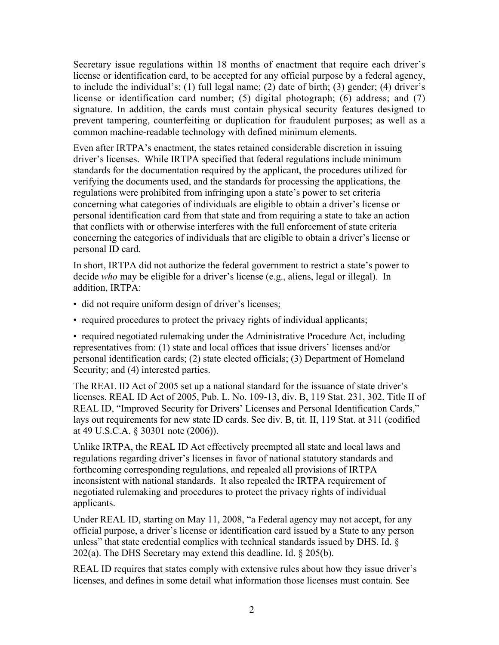Secretary issue regulations within 18 months of enactment that require each driver's license or identification card, to be accepted for any official purpose by a federal agency, to include the individual's: (1) full legal name; (2) date of birth; (3) gender; (4) driver's license or identification card number; (5) digital photograph; (6) address; and (7) signature. In addition, the cards must contain physical security features designed to prevent tampering, counterfeiting or duplication for fraudulent purposes; as well as a common machine-readable technology with defined minimum elements.

Even after IRTPA's enactment, the states retained considerable discretion in issuing driver's licenses. While IRTPA specified that federal regulations include minimum standards for the documentation required by the applicant, the procedures utilized for verifying the documents used, and the standards for processing the applications, the regulations were prohibited from infringing upon a state's power to set criteria concerning what categories of individuals are eligible to obtain a driver's license or personal identification card from that state and from requiring a state to take an action that conflicts with or otherwise interferes with the full enforcement of state criteria concerning the categories of individuals that are eligible to obtain a driver's license or personal ID card.

In short, IRTPA did not authorize the federal government to restrict a state's power to decide *who* may be eligible for a driver's license (e.g., aliens, legal or illegal). In addition, IRTPA:

- did not require uniform design of driver's licenses;
- required procedures to protect the privacy rights of individual applicants;

• required negotiated rulemaking under the Administrative Procedure Act, including representatives from: (1) state and local offices that issue drivers' licenses and/or personal identification cards; (2) state elected officials; (3) Department of Homeland Security; and (4) interested parties.

The REAL ID Act of 2005 set up a national standard for the issuance of state driver's licenses. REAL ID Act of 2005, Pub. L. No. 109-13, div. B, 119 Stat. 231, 302. Title II of REAL ID, "Improved Security for Drivers' Licenses and Personal Identification Cards," lays out requirements for new state ID cards. See div. B, tit. II, 119 Stat. at 311 (codified at 49 U.S.C.A. § 30301 note (2006)).

Unlike IRTPA, the REAL ID Act effectively preempted all state and local laws and regulations regarding driver's licenses in favor of national statutory standards and forthcoming corresponding regulations, and repealed all provisions of IRTPA inconsistent with national standards. It also repealed the IRTPA requirement of negotiated rulemaking and procedures to protect the privacy rights of individual applicants.

Under REAL ID, starting on May 11, 2008, "a Federal agency may not accept, for any official purpose, a driver's license or identification card issued by a State to any person unless" that state credential complies with technical standards issued by DHS. Id. § 202(a). The DHS Secretary may extend this deadline. Id. § 205(b).

REAL ID requires that states comply with extensive rules about how they issue driver's licenses, and defines in some detail what information those licenses must contain. See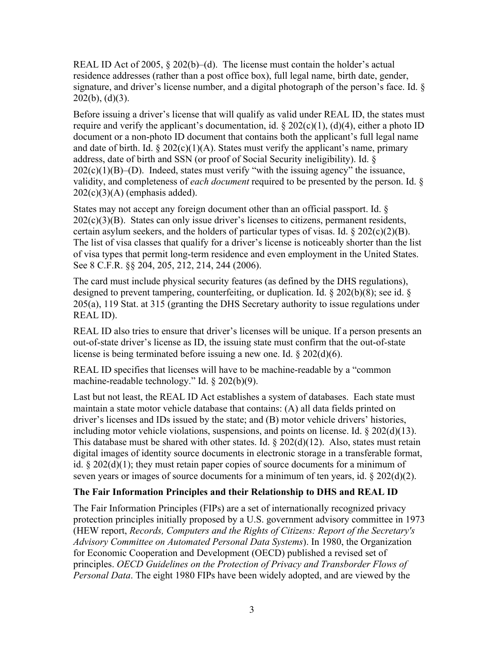REAL ID Act of 2005, § 202(b)–(d). The license must contain the holder's actual residence addresses (rather than a post office box), full legal name, birth date, gender, signature, and driver's license number, and a digital photograph of the person's face. Id. §  $202(b)$ ,  $(d)(3)$ .

Before issuing a driver's license that will qualify as valid under REAL ID, the states must require and verify the applicant's documentation, id.  $\S 202(c)(1)$ , (d)(4), either a photo ID document or a non-photo ID document that contains both the applicant's full legal name and date of birth. Id.  $\S 202(c)(1)(A)$ . States must verify the applicant's name, primary address, date of birth and SSN (or proof of Social Security ineligibility). Id. §  $202(c)(1)(B)$ –(D). Indeed, states must verify "with the issuing agency" the issuance, validity, and completeness of *each document* required to be presented by the person. Id. §  $202(c)(3)(A)$  (emphasis added).

States may not accept any foreign document other than an official passport. Id. §  $202(c)(3)(B)$ . States can only issue driver's licenses to citizens, permanent residents, certain asylum seekers, and the holders of particular types of visas. Id.  $\S 202(c)(2)(B)$ . The list of visa classes that qualify for a driver's license is noticeably shorter than the list of visa types that permit long-term residence and even employment in the United States. See 8 C.F.R. §§ 204, 205, 212, 214, 244 (2006).

The card must include physical security features (as defined by the DHS regulations), designed to prevent tampering, counterfeiting, or duplication. Id. § 202(b)(8); see id. § 205(a), 119 Stat. at 315 (granting the DHS Secretary authority to issue regulations under REAL ID).

REAL ID also tries to ensure that driver's licenses will be unique. If a person presents an out-of-state driver's license as ID, the issuing state must confirm that the out-of-state license is being terminated before issuing a new one. Id. § 202(d)(6).

REAL ID specifies that licenses will have to be machine-readable by a "common machine-readable technology." Id. § 202(b)(9).

Last but not least, the REAL ID Act establishes a system of databases. Each state must maintain a state motor vehicle database that contains: (A) all data fields printed on driver's licenses and IDs issued by the state; and (B) motor vehicle drivers' histories, including motor vehicle violations, suspensions, and points on license. Id. § 202(d)(13). This database must be shared with other states. Id.  $\S 202(d)(12)$ . Also, states must retain digital images of identity source documents in electronic storage in a transferable format, id.  $\S 202(d)(1)$ ; they must retain paper copies of source documents for a minimum of seven years or images of source documents for a minimum of ten years, id. § 202(d)(2).

## The Fair Information Principles and their Relationship to DHS and REAL ID

The Fair Information Principles (FIPs) are a set of internationally recognized privacy protection principles initially proposed by a U.S. government advisory committee in 1973 (HEW report, *Records, Computers and the Rights of Citizens: Report of the Secretary's Advisory Committee on Automated Personal Data Systems*). In 1980, the Organization for Economic Cooperation and Development (OECD) published a revised set of principles. *OECD Guidelines on the Protection of Privacy and Transborder Flows of Personal Data*. The eight 1980 FIPs have been widely adopted, and are viewed by the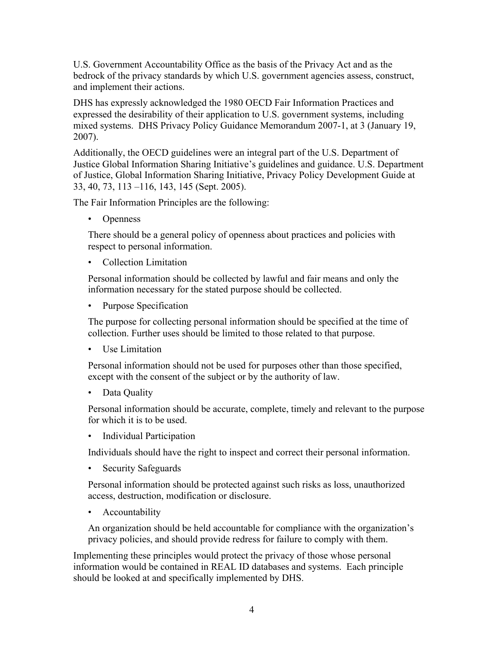U.S. Government Accountability Office as the basis of the Privacy Act and as the bedrock of the privacy standards by which U.S. government agencies assess, construct, and implement their actions.

DHS has expressly acknowledged the 1980 OECD Fair Information Practices and expressed the desirability of their application to U.S. government systems, including mixed systems. DHS Privacy Policy Guidance Memorandum 2007-1, at 3 (January 19, 2007).

Additionally, the OECD guidelines were an integral part of the U.S. Department of Justice Global Information Sharing Initiative's guidelines and guidance. U.S. Department of Justice, Global Information Sharing Initiative, Privacy Policy Development Guide at 33, 40, 73, 113 –116, 143, 145 (Sept. 2005).

The Fair Information Principles are the following:

• Openness

There should be a general policy of openness about practices and policies with respect to personal information.

• Collection Limitation

Personal information should be collected by lawful and fair means and only the information necessary for the stated purpose should be collected.

• Purpose Specification

The purpose for collecting personal information should be specified at the time of collection. Further uses should be limited to those related to that purpose.

• Use Limitation

Personal information should not be used for purposes other than those specified, except with the consent of the subject or by the authority of law.

• Data Ouality

Personal information should be accurate, complete, timely and relevant to the purpose for which it is to be used.

• Individual Participation

Individuals should have the right to inspect and correct their personal information.

• Security Safeguards

Personal information should be protected against such risks as loss, unauthorized access, destruction, modification or disclosure.

• Accountability

An organization should be held accountable for compliance with the organization's privacy policies, and should provide redress for failure to comply with them.

Implementing these principles would protect the privacy of those whose personal information would be contained in REAL ID databases and systems. Each principle should be looked at and specifically implemented by DHS.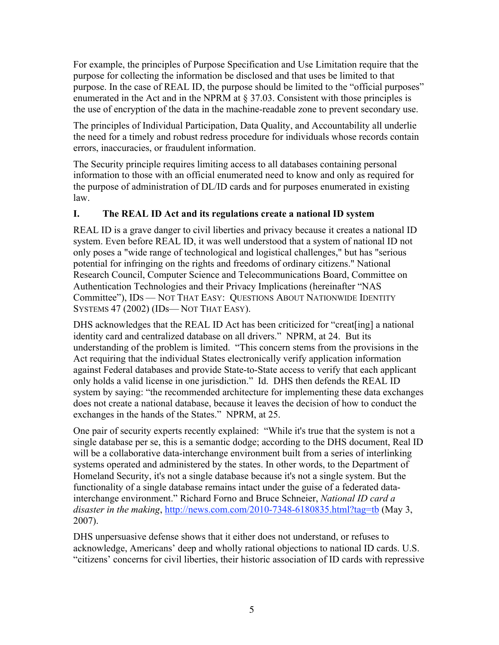For example, the principles of Purpose Specification and Use Limitation require that the purpose for collecting the information be disclosed and that uses be limited to that purpose. In the case of REAL ID, the purpose should be limited to the "official purposes" enumerated in the Act and in the NPRM at § 37.03. Consistent with those principles is the use of encryption of the data in the machine-readable zone to prevent secondary use.

The principles of Individual Participation, Data Quality, and Accountability all underlie the need for a timely and robust redress procedure for individuals whose records contain errors, inaccuracies, or fraudulent information.

The Security principle requires limiting access to all databases containing personal information to those with an official enumerated need to know and only as required for the purpose of administration of DL/ID cards and for purposes enumerated in existing law.

## I. The REAL ID Act and its regulations create a national ID system

REAL ID is a grave danger to civil liberties and privacy because it creates a national ID system. Even before REAL ID, it was well understood that a system of national ID not only poses a "wide range of technological and logistical challenges," but has "serious potential for infringing on the rights and freedoms of ordinary citizens." National Research Council, Computer Science and Telecommunications Board, Committee on Authentication Technologies and their Privacy Implications (hereinafter "NAS Committee"), IDS — NOT THAT EASY: QUESTIONS ABOUT NATIONWIDE IDENTITY SYSTEMS 47 (2002) (IDs— NOT THAT EASY).

DHS acknowledges that the REAL ID Act has been criticized for "creat[ing] a national identity card and centralized database on all drivers." NPRM, at 24. But its understanding of the problem is limited. "This concern stems from the provisions in the Act requiring that the individual States electronically verify application information against Federal databases and provide State-to-State access to verify that each applicant only holds a valid license in one jurisdiction." Id. DHS then defends the REAL ID system by saying: "the recommended architecture for implementing these data exchanges does not create a national database, because it leaves the decision of how to conduct the exchanges in the hands of the States." NPRM, at 25.

One pair of security experts recently explained: "While it's true that the system is not a single database per se, this is a semantic dodge; according to the DHS document, Real ID will be a collaborative data-interchange environment built from a series of interlinking systems operated and administered by the states. In other words, to the Department of Homeland Security, it's not a single database because it's not a single system. But the functionality of a single database remains intact under the guise of a federated datainterchange environment." Richard Forno and Bruce Schneier, *National ID card a disaster in the making*, http://news.com.com/2010-7348-6180835.html?tag=tb (May 3, 2007).

DHS unpersuasive defense shows that it either does not understand, or refuses to acknowledge, Americans' deep and wholly rational objections to national ID cards. U.S. "citizens' concerns for civil liberties, their historic association of ID cards with repressive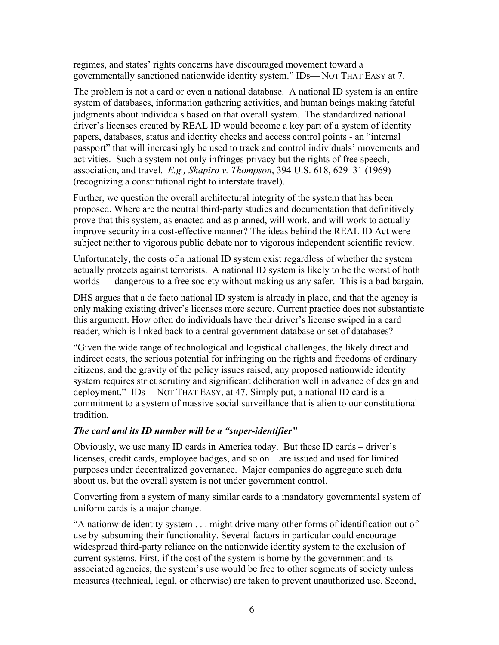regimes, and states' rights concerns have discouraged movement toward a governmentally sanctioned nationwide identity system." IDs— NOT THAT EASY at 7.

The problem is not a card or even a national database. A national ID system is an entire system of databases, information gathering activities, and human beings making fateful judgments about individuals based on that overall system. The standardized national driver's licenses created by REAL ID would become a key part of a system of identity papers, databases, status and identity checks and access control points - an "internal passport" that will increasingly be used to track and control individuals' movements and activities. Such a system not only infringes privacy but the rights of free speech, association, and travel. *E.g., Shapiro v. Thompson*, 394 U.S. 618, 629–31 (1969) (recognizing a constitutional right to interstate travel).

Further, we question the overall architectural integrity of the system that has been proposed. Where are the neutral third-party studies and documentation that definitively prove that this system, as enacted and as planned, will work, and will work to actually improve security in a cost-effective manner? The ideas behind the REAL ID Act were subject neither to vigorous public debate nor to vigorous independent scientific review.

Unfortunately, the costs of a national ID system exist regardless of whether the system actually protects against terrorists. A national ID system is likely to be the worst of both worlds — dangerous to a free society without making us any safer. This is a bad bargain.

DHS argues that a de facto national ID system is already in place, and that the agency is only making existing driver's licenses more secure. Current practice does not substantiate this argument. How often do individuals have their driver's license swiped in a card reader, which is linked back to a central government database or set of databases?

"Given the wide range of technological and logistical challenges, the likely direct and indirect costs, the serious potential for infringing on the rights and freedoms of ordinary citizens, and the gravity of the policy issues raised, any proposed nationwide identity system requires strict scrutiny and significant deliberation well in advance of design and deployment." IDs— NOT THAT EASY, at 47. Simply put, a national ID card is a commitment to a system of massive social surveillance that is alien to our constitutional tradition.

#### *The card and its ID number will be a "super-identifier"*

Obviously, we use many ID cards in America today. But these ID cards – driver's licenses, credit cards, employee badges, and so on – are issued and used for limited purposes under decentralized governance. Major companies do aggregate such data about us, but the overall system is not under government control.

Converting from a system of many similar cards to a mandatory governmental system of uniform cards is a major change.

"A nationwide identity system . . . might drive many other forms of identification out of use by subsuming their functionality. Several factors in particular could encourage widespread third-party reliance on the nationwide identity system to the exclusion of current systems. First, if the cost of the system is borne by the government and its associated agencies, the system's use would be free to other segments of society unless measures (technical, legal, or otherwise) are taken to prevent unauthorized use. Second,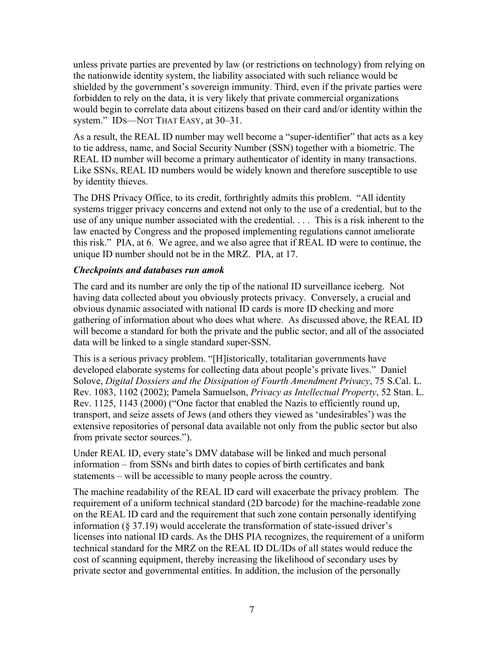unless private parties are prevented by law (or restrictions on technology) from relying on the nationwide identity system, the liability associated with such reliance would be shielded by the government's sovereign immunity. Third, even if the private parties were forbidden to rely on the data, it is very likely that private commercial organizations would begin to correlate data about citizens based on their card and/or identity within the system." IDS—NOT THAT EASY, at 30–31.

As a result, the REAL ID number may well become a "super-identifier" that acts as a key to tie address, name, and Social Security Number (SSN) together with a biometric. The REAL ID number will become a primary authenticator of identity in many transactions. Like SSNs, REAL ID numbers would be widely known and therefore susceptible to use by identity thieves.

The DHS Privacy Office, to its credit, forthrightly admits this problem. "All identity systems trigger privacy concerns and extend not only to the use of a credential, but to the use of any unique number associated with the credential. . . . This is a risk inherent to the law enacted by Congress and the proposed implementing regulations cannot ameliorate this risk." PIA, at 6. We agree, and we also agree that if REAL ID were to continue, the unique ID number should not be in the MRZ. PIA, at 17.

#### *Checkpoints and databases run amok*

The card and its number are only the tip of the national ID surveillance iceberg. Not having data collected about you obviously protects privacy. Conversely, a crucial and obvious dynamic associated with national ID cards is more ID checking and more gathering of information about who does what where. As discussed above, the REAL ID will become a standard for both the private and the public sector, and all of the associated data will be linked to a single standard super-SSN.

This is a serious privacy problem. "[H]istorically, totalitarian governments have developed elaborate systems for collecting data about people's private lives." Daniel Solove, *Digital Dossiers and the Dissipation of Fourth Amendment Privacy*, 75 S.Cal. L. Rev. 1083, 1102 (2002); Pamela Samuelson, *Privacy as Intellectual Property*, 52 Stan. L. Rev. 1125, 1143 (2000) ("One factor that enabled the Nazis to efficiently round up, transport, and seize assets of Jews (and others they viewed as 'undesirables') was the extensive repositories of personal data available not only from the public sector but also from private sector sources.").

Under REAL ID, every state's DMV database will be linked and much personal information – from SSNs and birth dates to copies of birth certificates and bank statements – will be accessible to many people across the country.

The machine readability of the REAL ID card will exacerbate the privacy problem. The requirement of a uniform technical standard (2D barcode) for the machine-readable zone on the REAL ID card and the requirement that such zone contain personally identifying information (§ 37.19) would accelerate the transformation of state-issued driver's licenses into national ID cards. As the DHS PIA recognizes, the requirement of a uniform technical standard for the MRZ on the REAL ID DL/IDs of all states would reduce the cost of scanning equipment, thereby increasing the likelihood of secondary uses by private sector and governmental entities. In addition, the inclusion of the personally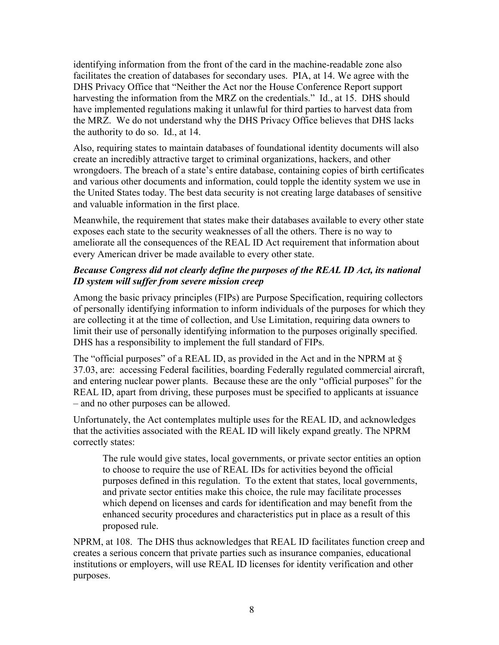identifying information from the front of the card in the machine-readable zone also facilitates the creation of databases for secondary uses. PIA, at 14. We agree with the DHS Privacy Office that "Neither the Act nor the House Conference Report support harvesting the information from the MRZ on the credentials." Id., at 15. DHS should have implemented regulations making it unlawful for third parties to harvest data from the MRZ. We do not understand why the DHS Privacy Office believes that DHS lacks the authority to do so. Id., at 14.

Also, requiring states to maintain databases of foundational identity documents will also create an incredibly attractive target to criminal organizations, hackers, and other wrongdoers. The breach of a state's entire database, containing copies of birth certificates and various other documents and information, could topple the identity system we use in the United States today. The best data security is not creating large databases of sensitive and valuable information in the first place.

Meanwhile, the requirement that states make their databases available to every other state exposes each state to the security weaknesses of all the others. There is no way to ameliorate all the consequences of the REAL ID Act requirement that information about every American driver be made available to every other state.

### *Because Congress did not clearly define the purposes of the REAL ID Act, its national ID system will suffer from severe mission creep*

Among the basic privacy principles (FIPs) are Purpose Specification, requiring collectors of personally identifying information to inform individuals of the purposes for which they are collecting it at the time of collection, and Use Limitation, requiring data owners to limit their use of personally identifying information to the purposes originally specified. DHS has a responsibility to implement the full standard of FIPs.

The "official purposes" of a REAL ID, as provided in the Act and in the NPRM at § 37.03, are: accessing Federal facilities, boarding Federally regulated commercial aircraft, and entering nuclear power plants. Because these are the only "official purposes" for the REAL ID, apart from driving, these purposes must be specified to applicants at issuance – and no other purposes can be allowed.

Unfortunately, the Act contemplates multiple uses for the REAL ID, and acknowledges that the activities associated with the REAL ID will likely expand greatly. The NPRM correctly states:

The rule would give states, local governments, or private sector entities an option to choose to require the use of REAL IDs for activities beyond the official purposes defined in this regulation. To the extent that states, local governments, and private sector entities make this choice, the rule may facilitate processes which depend on licenses and cards for identification and may benefit from the enhanced security procedures and characteristics put in place as a result of this proposed rule.

NPRM, at 108. The DHS thus acknowledges that REAL ID facilitates function creep and creates a serious concern that private parties such as insurance companies, educational institutions or employers, will use REAL ID licenses for identity verification and other purposes.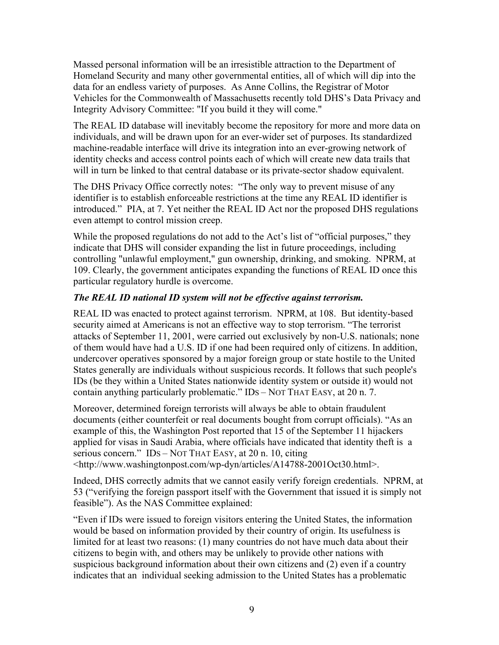Massed personal information will be an irresistible attraction to the Department of Homeland Security and many other governmental entities, all of which will dip into the data for an endless variety of purposes. As Anne Collins, the Registrar of Motor Vehicles for the Commonwealth of Massachusetts recently told DHS's Data Privacy and Integrity Advisory Committee: "If you build it they will come."

The REAL ID database will inevitably become the repository for more and more data on individuals, and will be drawn upon for an ever-wider set of purposes. Its standardized machine-readable interface will drive its integration into an ever-growing network of identity checks and access control points each of which will create new data trails that will in turn be linked to that central database or its private-sector shadow equivalent.

The DHS Privacy Office correctly notes: "The only way to prevent misuse of any identifier is to establish enforceable restrictions at the time any REAL ID identifier is introduced." PIA, at 7. Yet neither the REAL ID Act nor the proposed DHS regulations even attempt to control mission creep.

While the proposed regulations do not add to the Act's list of "official purposes," they indicate that DHS will consider expanding the list in future proceedings, including controlling "unlawful employment," gun ownership, drinking, and smoking. NPRM, at 109. Clearly, the government anticipates expanding the functions of REAL ID once this particular regulatory hurdle is overcome.

### *The REAL ID national ID system will not be effective against terrorism.*

REAL ID was enacted to protect against terrorism. NPRM, at 108. But identity-based security aimed at Americans is not an effective way to stop terrorism. "The terrorist attacks of September 11, 2001, were carried out exclusively by non-U.S. nationals; none of them would have had a U.S. ID if one had been required only of citizens. In addition, undercover operatives sponsored by a major foreign group or state hostile to the United States generally are individuals without suspicious records. It follows that such people's IDs (be they within a United States nationwide identity system or outside it) would not contain anything particularly problematic." IDS – NOT THAT EASY, at 20 n. 7.

Moreover, determined foreign terrorists will always be able to obtain fraudulent documents (either counterfeit or real documents bought from corrupt officials). "As an example of this, the Washington Post reported that 15 of the September 11 hijackers applied for visas in Saudi Arabia, where officials have indicated that identity theft is a serious concern." IDS – NOT THAT EASY, at 20 n. 10, citing <http://www.washingtonpost.com/wp-dyn/articles/A14788-2001Oct30.html>.

Indeed, DHS correctly admits that we cannot easily verify foreign credentials. NPRM, at 53 ("verifying the foreign passport itself with the Government that issued it is simply not feasible"). As the NAS Committee explained:

"Even if IDs were issued to foreign visitors entering the United States, the information would be based on information provided by their country of origin. Its usefulness is limited for at least two reasons: (1) many countries do not have much data about their citizens to begin with, and others may be unlikely to provide other nations with suspicious background information about their own citizens and (2) even if a country indicates that an individual seeking admission to the United States has a problematic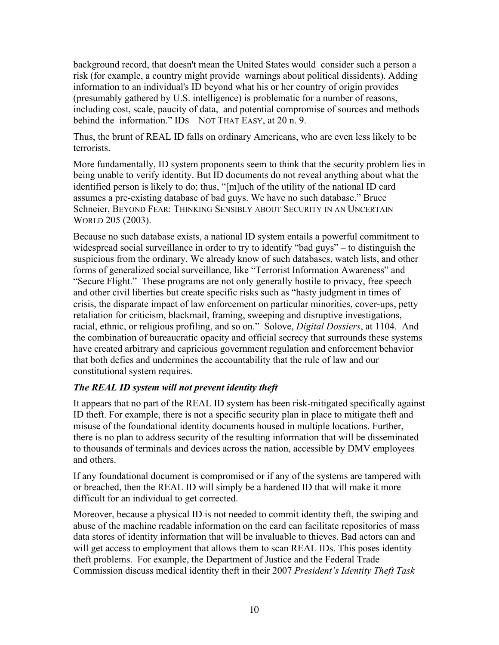background record, that doesn't mean the United States would consider such a person a risk (for example, a country might provide warnings about political dissidents). Adding information to an individual's ID beyond what his or her country of origin provides (presumably gathered by U.S. intelligence) is problematic for a number of reasons, including cost, scale, paucity of data, and potential compromise of sources and methods behind the information." IDS – NOT THAT EASY, at 20 n. 9.

Thus, the brunt of REAL ID falls on ordinary Americans, who are even less likely to be terrorists.

More fundamentally, ID system proponents seem to think that the security problem lies in being unable to verify identity. But ID documents do not reveal anything about what the identified person is likely to do; thus, "[m]uch of the utility of the national ID card assumes a pre-existing database of bad guys. We have no such database." Bruce Schneier, BEYOND FEAR: THINKING SENSIBLY ABOUT SECURITY IN AN UNCERTAIN WORLD 205 (2003).

Because no such database exists, a national ID system entails a powerful commitment to widespread social surveillance in order to try to identify "bad guys" – to distinguish the suspicious from the ordinary. We already know of such databases, watch lists, and other forms of generalized social surveillance, like "Terrorist Information Awareness" and "Secure Flight." These programs are not only generally hostile to privacy, free speech and other civil liberties but create specific risks such as "hasty judgment in times of crisis, the disparate impact of law enforcement on particular minorities, cover-ups, petty retaliation for criticism, blackmail, framing, sweeping and disruptive investigations, racial, ethnic, or religious profiling, and so on." Solove, *Digital Dossiers*, at 1104. And the combination of bureaucratic opacity and official secrecy that surrounds these systems have created arbitrary and capricious government regulation and enforcement behavior that both defies and undermines the accountability that the rule of law and our constitutional system requires.

#### *The REAL ID system will not prevent identity theft*

It appears that no part of the REAL ID system has been risk-mitigated specifically against ID theft. For example, there is not a specific security plan in place to mitigate theft and misuse of the foundational identity documents housed in multiple locations. Further, there is no plan to address security of the resulting information that will be disseminated to thousands of terminals and devices across the nation, accessible by DMV employees and others.

If any foundational document is compromised or if any of the systems are tampered with or breached, then the REAL ID will simply be a hardened ID that will make it more difficult for an individual to get corrected.

Moreover, because a physical ID is not needed to commit identity theft, the swiping and abuse of the machine readable information on the card can facilitate repositories of mass data stores of identity information that will be invaluable to thieves. Bad actors can and will get access to employment that allows them to scan REAL IDs. This poses identity theft problems. For example, the Department of Justice and the Federal Trade Commission discuss medical identity theft in their 2007 *President's Identity Theft Task*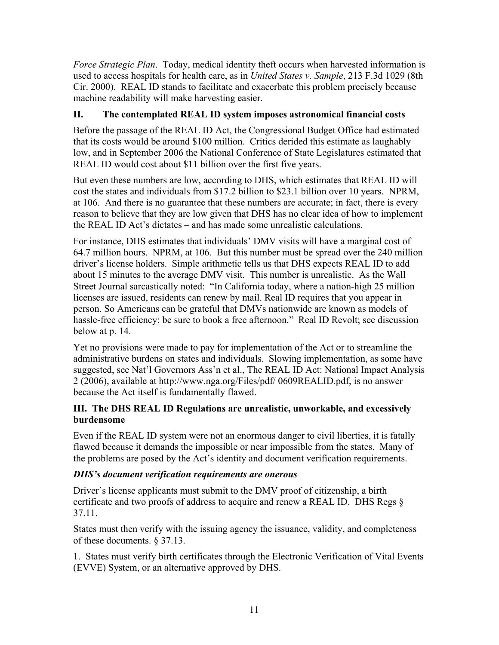*Force Strategic Plan*. Today, medical identity theft occurs when harvested information is used to access hospitals for health care, as in *United States v. Sample*, 213 F.3d 1029 (8th Cir. 2000). REAL ID stands to facilitate and exacerbate this problem precisely because machine readability will make harvesting easier.

## II. The contemplated REAL ID system imposes astronomical financial costs

Before the passage of the REAL ID Act, the Congressional Budget Office had estimated that its costs would be around \$100 million. Critics derided this estimate as laughably low, and in September 2006 the National Conference of State Legislatures estimated that REAL ID would cost about \$11 billion over the first five years.

But even these numbers are low, according to DHS, which estimates that REAL ID will cost the states and individuals from \$17.2 billion to \$23.1 billion over 10 years. NPRM, at 106. And there is no guarantee that these numbers are accurate; in fact, there is every reason to believe that they are low given that DHS has no clear idea of how to implement the REAL ID Act's dictates – and has made some unrealistic calculations.

For instance, DHS estimates that individuals' DMV visits will have a marginal cost of 64.7 million hours. NPRM, at 106. But this number must be spread over the 240 million driver's license holders. Simple arithmetic tells us that DHS expects REAL ID to add about 15 minutes to the average DMV visit. This number is unrealistic. As the Wall Street Journal sarcastically noted: "In California today, where a nation-high 25 million licenses are issued, residents can renew by mail. Real ID requires that you appear in person. So Americans can be grateful that DMVs nationwide are known as models of hassle-free efficiency; be sure to book a free afternoon." Real ID Revolt; see discussion below at p. 14.

Yet no provisions were made to pay for implementation of the Act or to streamline the administrative burdens on states and individuals. Slowing implementation, as some have suggested, see Nat'l Governors Ass'n et al., The REAL ID Act: National Impact Analysis 2 (2006), available at http://www.nga.org/Files/pdf/ 0609REALID.pdf, is no answer because the Act itself is fundamentally flawed.

#### III. The DHS REAL ID Regulations are unrealistic, unworkable, and excessively burdensome

Even if the REAL ID system were not an enormous danger to civil liberties, it is fatally flawed because it demands the impossible or near impossible from the states. Many of the problems are posed by the Act's identity and document verification requirements.

#### *DHS's document verification requirements are onerous*

Driver's license applicants must submit to the DMV proof of citizenship, a birth certificate and two proofs of address to acquire and renew a REAL ID. DHS Regs § 37.11.

States must then verify with the issuing agency the issuance, validity, and completeness of these documents. § 37.13.

1. States must verify birth certificates through the Electronic Verification of Vital Events (EVVE) System, or an alternative approved by DHS.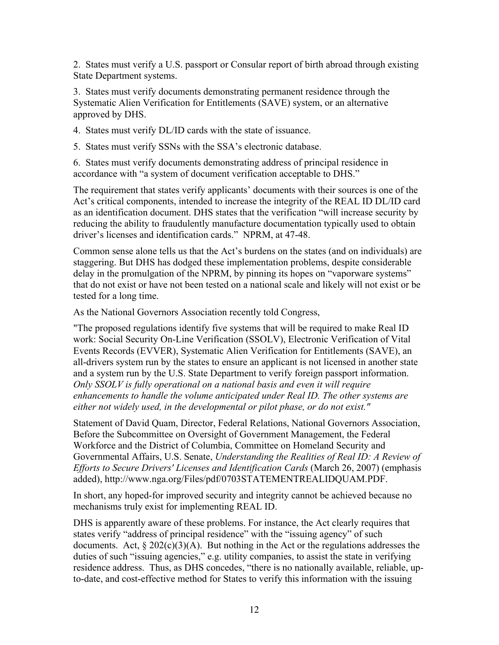2. States must verify a U.S. passport or Consular report of birth abroad through existing State Department systems.

3. States must verify documents demonstrating permanent residence through the Systematic Alien Verification for Entitlements (SAVE) system, or an alternative approved by DHS.

4. States must verify DL/ID cards with the state of issuance.

5. States must verify SSNs with the SSA's electronic database.

6. States must verify documents demonstrating address of principal residence in accordance with "a system of document verification acceptable to DHS."

The requirement that states verify applicants' documents with their sources is one of the Act's critical components, intended to increase the integrity of the REAL ID DL/ID card as an identification document. DHS states that the verification "will increase security by reducing the ability to fraudulently manufacture documentation typically used to obtain driver's licenses and identification cards." NPRM, at 47-48.

Common sense alone tells us that the Act's burdens on the states (and on individuals) are staggering. But DHS has dodged these implementation problems, despite considerable delay in the promulgation of the NPRM, by pinning its hopes on "vaporware systems" that do not exist or have not been tested on a national scale and likely will not exist or be tested for a long time.

As the National Governors Association recently told Congress,

"The proposed regulations identify five systems that will be required to make Real ID work: Social Security On-Line Verification (SSOLV), Electronic Verification of Vital Events Records (EVVER), Systematic Alien Verification for Entitlements (SAVE), an all-drivers system run by the states to ensure an applicant is not licensed in another state and a system run by the U.S. State Department to verify foreign passport information. *Only SSOLV is fully operational on a national basis and even it will require enhancements to handle the volume anticipated under Real ID. The other systems are either not widely used, in the developmental or pilot phase, or do not exist."*

Statement of David Quam, Director, Federal Relations, National Governors Association, Before the Subcommittee on Oversight of Government Management, the Federal Workforce and the District of Columbia, Committee on Homeland Security and Governmental Affairs, U.S. Senate, *Understanding the Realities of Real ID: A Review of Efforts to Secure Drivers' Licenses and Identification Cards* (March 26, 2007) (emphasis added), http://www.nga.org/Files/pdf/0703STATEMENTREALIDQUAM.PDF.

In short, any hoped-for improved security and integrity cannot be achieved because no mechanisms truly exist for implementing REAL ID.

DHS is apparently aware of these problems. For instance, the Act clearly requires that states verify "address of principal residence" with the "issuing agency" of such documents. Act,  $\S 202(c)(3)(A)$ . But nothing in the Act or the regulations addresses the duties of such "issuing agencies," e.g. utility companies, to assist the state in verifying residence address. Thus, as DHS concedes, "there is no nationally available, reliable, upto-date, and cost-effective method for States to verify this information with the issuing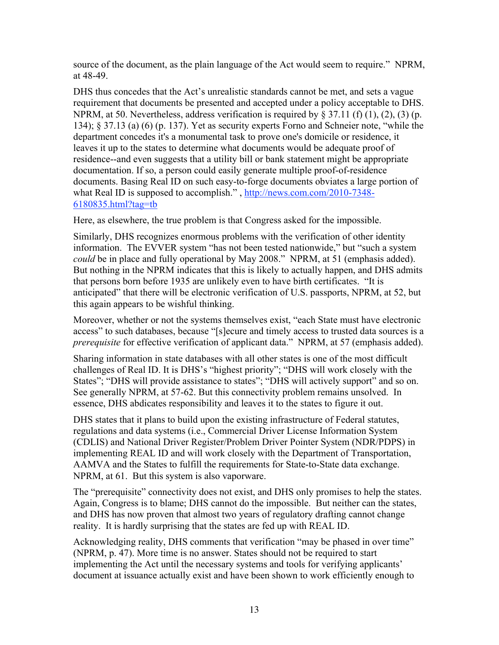source of the document, as the plain language of the Act would seem to require." NPRM, at 48-49.

DHS thus concedes that the Act's unrealistic standards cannot be met, and sets a vague requirement that documents be presented and accepted under a policy acceptable to DHS. NPRM, at 50. Nevertheless, address verification is required by  $\S 37.11$  (f) (1), (2), (3) (p. 134); § 37.13 (a) (6) (p. 137). Yet as security experts Forno and Schneier note, "while the department concedes it's a monumental task to prove one's domicile or residence, it leaves it up to the states to determine what documents would be adequate proof of residence--and even suggests that a utility bill or bank statement might be appropriate documentation. If so, a person could easily generate multiple proof-of-residence documents. Basing Real ID on such easy-to-forge documents obviates a large portion of what Real ID is supposed to accomplish.", http://news.com.com/2010-7348-6180835.html?tag=tb

Here, as elsewhere, the true problem is that Congress asked for the impossible.

Similarly, DHS recognizes enormous problems with the verification of other identity information. The EVVER system "has not been tested nationwide," but "such a system *could* be in place and fully operational by May 2008." NPRM, at 51 (emphasis added). But nothing in the NPRM indicates that this is likely to actually happen, and DHS admits that persons born before 1935 are unlikely even to have birth certificates. "It is anticipated" that there will be electronic verification of U.S. passports, NPRM, at 52, but this again appears to be wishful thinking.

Moreover, whether or not the systems themselves exist, "each State must have electronic access" to such databases, because "[s]ecure and timely access to trusted data sources is a *prerequisite* for effective verification of applicant data." NPRM, at 57 (emphasis added).

Sharing information in state databases with all other states is one of the most difficult challenges of Real ID. It is DHS's "highest priority"; "DHS will work closely with the States"; "DHS will provide assistance to states"; "DHS will actively support" and so on. See generally NPRM, at 57-62. But this connectivity problem remains unsolved. In essence, DHS abdicates responsibility and leaves it to the states to figure it out.

DHS states that it plans to build upon the existing infrastructure of Federal statutes, regulations and data systems (i.e., Commercial Driver License Information System (CDLIS) and National Driver Register/Problem Driver Pointer System (NDR/PDPS) in implementing REAL ID and will work closely with the Department of Transportation, AAMVA and the States to fulfill the requirements for State-to-State data exchange. NPRM, at 61. But this system is also vaporware.

The "prerequisite" connectivity does not exist, and DHS only promises to help the states. Again, Congress is to blame; DHS cannot do the impossible. But neither can the states, and DHS has now proven that almost two years of regulatory drafting cannot change reality. It is hardly surprising that the states are fed up with REAL ID.

Acknowledging reality, DHS comments that verification "may be phased in over time" (NPRM, p. 47). More time is no answer. States should not be required to start implementing the Act until the necessary systems and tools for verifying applicants' document at issuance actually exist and have been shown to work efficiently enough to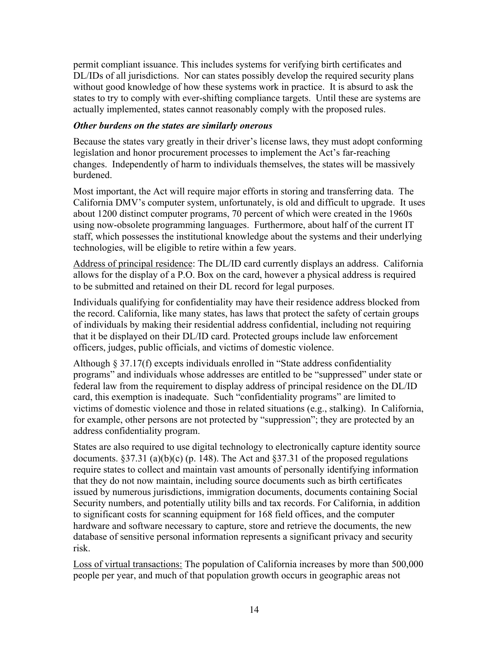permit compliant issuance. This includes systems for verifying birth certificates and DL/IDs of all jurisdictions. Nor can states possibly develop the required security plans without good knowledge of how these systems work in practice. It is absurd to ask the states to try to comply with ever-shifting compliance targets. Until these are systems are actually implemented, states cannot reasonably comply with the proposed rules.

#### *Other burdens on the states are similarly onerous*

Because the states vary greatly in their driver's license laws, they must adopt conforming legislation and honor procurement processes to implement the Act's far-reaching changes. Independently of harm to individuals themselves, the states will be massively burdened.

Most important, the Act will require major efforts in storing and transferring data. The California DMV's computer system, unfortunately, is old and difficult to upgrade. It uses about 1200 distinct computer programs, 70 percent of which were created in the 1960s using now-obsolete programming languages. Furthermore, about half of the current IT staff, which possesses the institutional knowledge about the systems and their underlying technologies, will be eligible to retire within a few years.

Address of principal residence: The DL/ID card currently displays an address. California allows for the display of a P.O. Box on the card, however a physical address is required to be submitted and retained on their DL record for legal purposes.

Individuals qualifying for confidentiality may have their residence address blocked from the record. California, like many states, has laws that protect the safety of certain groups of individuals by making their residential address confidential, including not requiring that it be displayed on their DL/ID card. Protected groups include law enforcement officers, judges, public officials, and victims of domestic violence.

Although § 37.17(f) excepts individuals enrolled in "State address confidentiality programs" and individuals whose addresses are entitled to be "suppressed" under state or federal law from the requirement to display address of principal residence on the DL/ID card, this exemption is inadequate. Such "confidentiality programs" are limited to victims of domestic violence and those in related situations (e.g., stalking). In California, for example, other persons are not protected by "suppression"; they are protected by an address confidentiality program.

States are also required to use digital technology to electronically capture identity source documents.  $§37.31$  (a)(b)(c) (p. 148). The Act and  $§37.31$  of the proposed regulations require states to collect and maintain vast amounts of personally identifying information that they do not now maintain, including source documents such as birth certificates issued by numerous jurisdictions, immigration documents, documents containing Social Security numbers, and potentially utility bills and tax records. For California, in addition to significant costs for scanning equipment for 168 field offices, and the computer hardware and software necessary to capture, store and retrieve the documents, the new database of sensitive personal information represents a significant privacy and security risk.

Loss of virtual transactions: The population of California increases by more than 500,000 people per year, and much of that population growth occurs in geographic areas not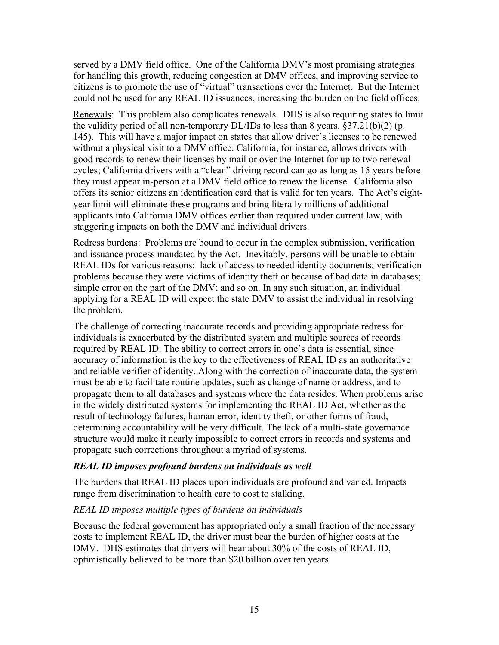served by a DMV field office. One of the California DMV's most promising strategies for handling this growth, reducing congestion at DMV offices, and improving service to citizens is to promote the use of "virtual" transactions over the Internet. But the Internet could not be used for any REAL ID issuances, increasing the burden on the field offices.

Renewals: This problem also complicates renewals. DHS is also requiring states to limit the validity period of all non-temporary  $DL/IDs$  to less than 8 years. §37.21(b)(2) (p. 145). This will have a major impact on states that allow driver's licenses to be renewed without a physical visit to a DMV office. California, for instance, allows drivers with good records to renew their licenses by mail or over the Internet for up to two renewal cycles; California drivers with a "clean" driving record can go as long as 15 years before they must appear in-person at a DMV field office to renew the license. California also offers its senior citizens an identification card that is valid for ten years. The Act's eightyear limit will eliminate these programs and bring literally millions of additional applicants into California DMV offices earlier than required under current law, with staggering impacts on both the DMV and individual drivers.

Redress burdens: Problems are bound to occur in the complex submission, verification and issuance process mandated by the Act. Inevitably, persons will be unable to obtain REAL IDs for various reasons: lack of access to needed identity documents; verification problems because they were victims of identity theft or because of bad data in databases; simple error on the part of the DMV; and so on. In any such situation, an individual applying for a REAL ID will expect the state DMV to assist the individual in resolving the problem.

The challenge of correcting inaccurate records and providing appropriate redress for individuals is exacerbated by the distributed system and multiple sources of records required by REAL ID. The ability to correct errors in one's data is essential, since accuracy of information is the key to the effectiveness of REAL ID as an authoritative and reliable verifier of identity. Along with the correction of inaccurate data, the system must be able to facilitate routine updates, such as change of name or address, and to propagate them to all databases and systems where the data resides. When problems arise in the widely distributed systems for implementing the REAL ID Act, whether as the result of technology failures, human error, identity theft, or other forms of fraud, determining accountability will be very difficult. The lack of a multi-state governance structure would make it nearly impossible to correct errors in records and systems and propagate such corrections throughout a myriad of systems.

#### *REAL ID imposes profound burdens on individuals as well*

The burdens that REAL ID places upon individuals are profound and varied. Impacts range from discrimination to health care to cost to stalking.

#### *REAL ID imposes multiple types of burdens on individuals*

Because the federal government has appropriated only a small fraction of the necessary costs to implement REAL ID, the driver must bear the burden of higher costs at the DMV. DHS estimates that drivers will bear about 30% of the costs of REAL ID, optimistically believed to be more than \$20 billion over ten years.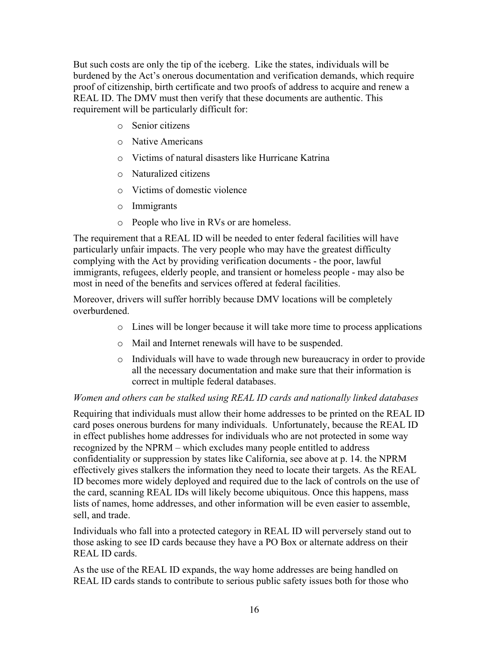But such costs are only the tip of the iceberg. Like the states, individuals will be burdened by the Act's onerous documentation and verification demands, which require proof of citizenship, birth certificate and two proofs of address to acquire and renew a REAL ID. The DMV must then verify that these documents are authentic. This requirement will be particularly difficult for:

- o Senior citizens
- o Native Americans
- o Victims of natural disasters like Hurricane Katrina
- o Naturalized citizens
- o Victims of domestic violence
- o Immigrants
- o People who live in RVs or are homeless.

The requirement that a REAL ID will be needed to enter federal facilities will have particularly unfair impacts. The very people who may have the greatest difficulty complying with the Act by providing verification documents - the poor, lawful immigrants, refugees, elderly people, and transient or homeless people - may also be most in need of the benefits and services offered at federal facilities.

Moreover, drivers will suffer horribly because DMV locations will be completely overburdened.

- o Lines will be longer because it will take more time to process applications
- o Mail and Internet renewals will have to be suspended.
- o Individuals will have to wade through new bureaucracy in order to provide all the necessary documentation and make sure that their information is correct in multiple federal databases.

#### *Women and others can be stalked using REAL ID cards and nationally linked databases*

Requiring that individuals must allow their home addresses to be printed on the REAL ID card poses onerous burdens for many individuals. Unfortunately, because the REAL ID in effect publishes home addresses for individuals who are not protected in some way recognized by the NPRM – which excludes many people entitled to address confidentiality or suppression by states like California, see above at p. 14. the NPRM effectively gives stalkers the information they need to locate their targets. As the REAL ID becomes more widely deployed and required due to the lack of controls on the use of the card, scanning REAL IDs will likely become ubiquitous. Once this happens, mass lists of names, home addresses, and other information will be even easier to assemble, sell, and trade.

Individuals who fall into a protected category in REAL ID will perversely stand out to those asking to see ID cards because they have a PO Box or alternate address on their REAL ID cards.

As the use of the REAL ID expands, the way home addresses are being handled on REAL ID cards stands to contribute to serious public safety issues both for those who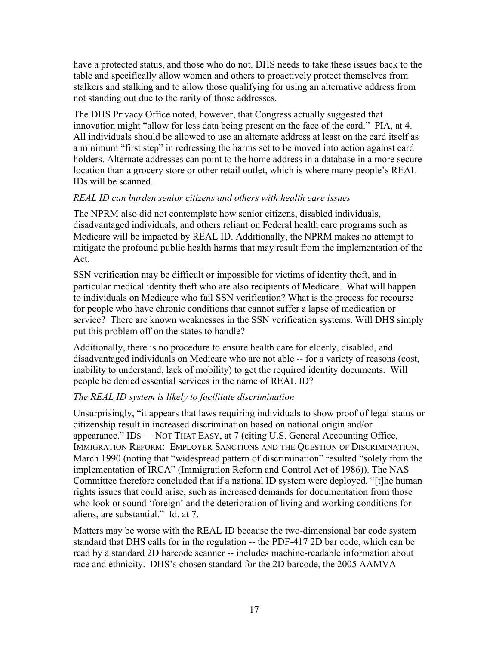have a protected status, and those who do not. DHS needs to take these issues back to the table and specifically allow women and others to proactively protect themselves from stalkers and stalking and to allow those qualifying for using an alternative address from not standing out due to the rarity of those addresses.

The DHS Privacy Office noted, however, that Congress actually suggested that innovation might "allow for less data being present on the face of the card." PIA, at 4. All individuals should be allowed to use an alternate address at least on the card itself as a minimum "first step" in redressing the harms set to be moved into action against card holders. Alternate addresses can point to the home address in a database in a more secure location than a grocery store or other retail outlet, which is where many people's REAL IDs will be scanned.

#### *REAL ID can burden senior citizens and others with health care issues*

The NPRM also did not contemplate how senior citizens, disabled individuals, disadvantaged individuals, and others reliant on Federal health care programs such as Medicare will be impacted by REAL ID. Additionally, the NPRM makes no attempt to mitigate the profound public health harms that may result from the implementation of the Act.

SSN verification may be difficult or impossible for victims of identity theft, and in particular medical identity theft who are also recipients of Medicare. What will happen to individuals on Medicare who fail SSN verification? What is the process for recourse for people who have chronic conditions that cannot suffer a lapse of medication or service? There are known weaknesses in the SSN verification systems. Will DHS simply put this problem off on the states to handle?

Additionally, there is no procedure to ensure health care for elderly, disabled, and disadvantaged individuals on Medicare who are not able -- for a variety of reasons (cost, inability to understand, lack of mobility) to get the required identity documents. Will people be denied essential services in the name of REAL ID?

#### *The REAL ID system is likely to facilitate discrimination*

Unsurprisingly, "it appears that laws requiring individuals to show proof of legal status or citizenship result in increased discrimination based on national origin and/or appearance." IDS — NOT THAT EASY, at 7 (citing U.S. General Accounting Office, IMMIGRATION REFORM: EMPLOYER SANCTIONS AND THE QUESTION OF DISCRIMINATION, March 1990 (noting that "widespread pattern of discrimination" resulted "solely from the implementation of IRCA" (Immigration Reform and Control Act of 1986)). The NAS Committee therefore concluded that if a national ID system were deployed, "[t]he human rights issues that could arise, such as increased demands for documentation from those who look or sound 'foreign' and the deterioration of living and working conditions for aliens, are substantial." Id. at 7.

Matters may be worse with the REAL ID because the two-dimensional bar code system standard that DHS calls for in the regulation -- the PDF-417 2D bar code, which can be read by a standard 2D barcode scanner -- includes machine-readable information about race and ethnicity. DHS's chosen standard for the 2D barcode, the 2005 AAMVA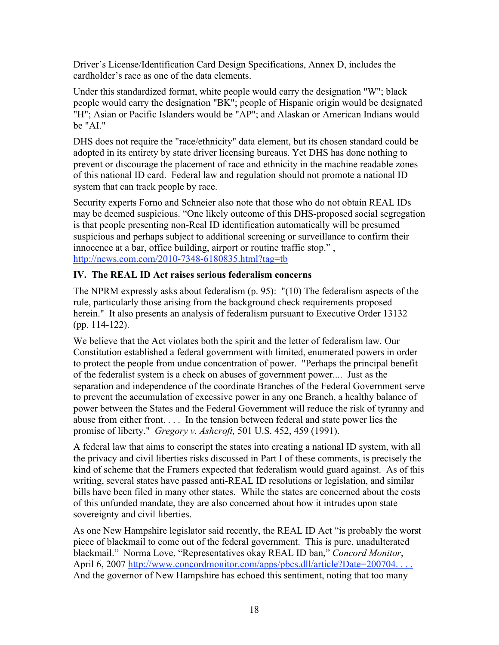Driver's License/Identification Card Design Specifications, Annex D, includes the cardholder's race as one of the data elements.

Under this standardized format, white people would carry the designation "W"; black people would carry the designation "BK"; people of Hispanic origin would be designated "H"; Asian or Pacific Islanders would be "AP"; and Alaskan or American Indians would be "AI."

DHS does not require the "race/ethnicity" data element, but its chosen standard could be adopted in its entirety by state driver licensing bureaus. Yet DHS has done nothing to prevent or discourage the placement of race and ethnicity in the machine readable zones of this national ID card. Federal law and regulation should not promote a national ID system that can track people by race.

Security experts Forno and Schneier also note that those who do not obtain REAL IDs may be deemed suspicious. "One likely outcome of this DHS-proposed social segregation is that people presenting non-Real ID identification automatically will be presumed suspicious and perhaps subject to additional screening or surveillance to confirm their innocence at a bar, office building, airport or routine traffic stop." , http://news.com.com/2010-7348-6180835.html?tag=tb

#### IV. The REAL ID Act raises serious federalism concerns

The NPRM expressly asks about federalism (p. 95): "(10) The federalism aspects of the rule, particularly those arising from the background check requirements proposed herein." It also presents an analysis of federalism pursuant to Executive Order 13132 (pp. 114-122).

We believe that the Act violates both the spirit and the letter of federalism law. Our Constitution established a federal government with limited, enumerated powers in order to protect the people from undue concentration of power. "Perhaps the principal benefit of the federalist system is a check on abuses of government power.... Just as the separation and independence of the coordinate Branches of the Federal Government serve to prevent the accumulation of excessive power in any one Branch, a healthy balance of power between the States and the Federal Government will reduce the risk of tyranny and abuse from either front. . . . In the tension between federal and state power lies the promise of liberty." *Gregory v. Ashcroft,* 501 U.S. 452, 459 (1991).

A federal law that aims to conscript the states into creating a national ID system, with all the privacy and civil liberties risks discussed in Part I of these comments, is precisely the kind of scheme that the Framers expected that federalism would guard against. As of this writing, several states have passed anti-REAL ID resolutions or legislation, and similar bills have been filed in many other states. While the states are concerned about the costs of this unfunded mandate, they are also concerned about how it intrudes upon state sovereignty and civil liberties.

As one New Hampshire legislator said recently, the REAL ID Act "is probably the worst piece of blackmail to come out of the federal government. This is pure, unadulterated blackmail." Norma Love, "Representatives okay REAL ID ban," *Concord Monitor*, April 6, 2007 http://www.concordmonitor.com/apps/pbcs.dll/article?Date=200704. And the governor of New Hampshire has echoed this sentiment, noting that too many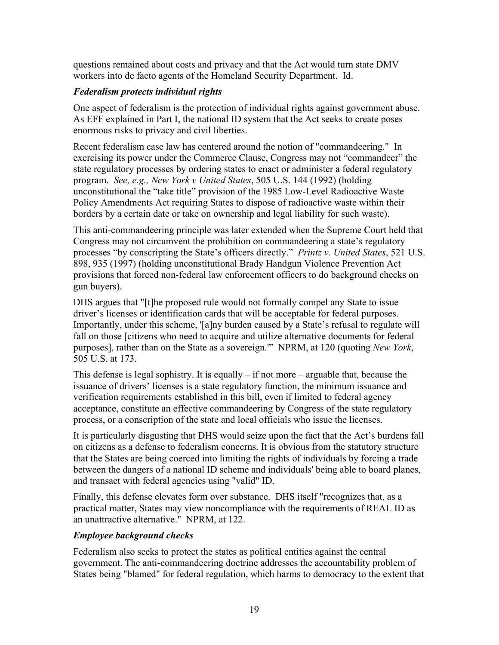questions remained about costs and privacy and that the Act would turn state DMV workers into de facto agents of the Homeland Security Department. Id.

### *Federalism protects individual rights*

One aspect of federalism is the protection of individual rights against government abuse. As EFF explained in Part I, the national ID system that the Act seeks to create poses enormous risks to privacy and civil liberties.

Recent federalism case law has centered around the notion of "commandeering." In exercising its power under the Commerce Clause, Congress may not "commandeer" the state regulatory processes by ordering states to enact or administer a federal regulatory program. *See, e.g., New York v United States*, 505 U.S. 144 (1992) (holding unconstitutional the "take title" provision of the 1985 Low-Level Radioactive Waste Policy Amendments Act requiring States to dispose of radioactive waste within their borders by a certain date or take on ownership and legal liability for such waste).

This anti-commandeering principle was later extended when the Supreme Court held that Congress may not circumvent the prohibition on commandeering a state's regulatory processes "by conscripting the State's officers directly." *Printz v. United States*, 521 U.S. 898, 935 (1997) (holding unconstitutional Brady Handgun Violence Prevention Act provisions that forced non-federal law enforcement officers to do background checks on gun buyers).

DHS argues that "[t]he proposed rule would not formally compel any State to issue driver's licenses or identification cards that will be acceptable for federal purposes. Importantly, under this scheme, '[a]ny burden caused by a State's refusal to regulate will fall on those [citizens who need to acquire and utilize alternative documents for federal purposes], rather than on the State as a sovereign.'" NPRM, at 120 (quoting *New York*, 505 U.S. at 173.

This defense is legal sophistry. It is equally  $-$  if not more  $-$  arguable that, because the issuance of drivers' licenses is a state regulatory function, the minimum issuance and verification requirements established in this bill, even if limited to federal agency acceptance, constitute an effective commandeering by Congress of the state regulatory process, or a conscription of the state and local officials who issue the licenses.

It is particularly disgusting that DHS would seize upon the fact that the Act's burdens fall on citizens as a defense to federalism concerns. It is obvious from the statutory structure that the States are being coerced into limiting the rights of individuals by forcing a trade between the dangers of a national ID scheme and individuals' being able to board planes, and transact with federal agencies using "valid" ID.

Finally, this defense elevates form over substance. DHS itself "recognizes that, as a practical matter, States may view noncompliance with the requirements of REAL ID as an unattractive alternative." NPRM, at 122.

#### *Employee background checks*

Federalism also seeks to protect the states as political entities against the central government. The anti-commandeering doctrine addresses the accountability problem of States being "blamed" for federal regulation, which harms to democracy to the extent that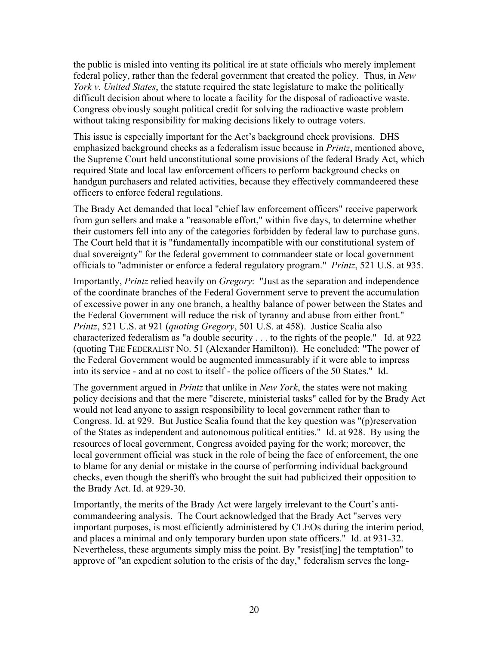the public is misled into venting its political ire at state officials who merely implement federal policy, rather than the federal government that created the policy. Thus, in *New York v. United States*, the statute required the state legislature to make the politically difficult decision about where to locate a facility for the disposal of radioactive waste. Congress obviously sought political credit for solving the radioactive waste problem without taking responsibility for making decisions likely to outrage voters.

This issue is especially important for the Act's background check provisions. DHS emphasized background checks as a federalism issue because in *Printz*, mentioned above, the Supreme Court held unconstitutional some provisions of the federal Brady Act, which required State and local law enforcement officers to perform background checks on handgun purchasers and related activities, because they effectively commandeered these officers to enforce federal regulations.

The Brady Act demanded that local "chief law enforcement officers" receive paperwork from gun sellers and make a "reasonable effort," within five days, to determine whether their customers fell into any of the categories forbidden by federal law to purchase guns. The Court held that it is "fundamentally incompatible with our constitutional system of dual sovereignty" for the federal government to commandeer state or local government officials to "administer or enforce a federal regulatory program." *Printz*, 521 U.S. at 935.

Importantly, *Printz* relied heavily on *Gregory*: "Just as the separation and independence of the coordinate branches of the Federal Government serve to prevent the accumulation of excessive power in any one branch, a healthy balance of power between the States and the Federal Government will reduce the risk of tyranny and abuse from either front." *Printz*, 521 U.S. at 921 (*quoting Gregory*, 501 U.S. at 458). Justice Scalia also characterized federalism as "a double security . . . to the rights of the people." Id. at 922 (quoting THE FEDERALIST NO. 51 (Alexander Hamilton)). He concluded: "The power of the Federal Government would be augmented immeasurably if it were able to impress into its service - and at no cost to itself - the police officers of the 50 States." Id.

The government argued in *Printz* that unlike in *New York*, the states were not making policy decisions and that the mere "discrete, ministerial tasks" called for by the Brady Act would not lead anyone to assign responsibility to local government rather than to Congress. Id. at 929. But Justice Scalia found that the key question was "(p)reservation of the States as independent and autonomous political entities." Id. at 928. By using the resources of local government, Congress avoided paying for the work; moreover, the local government official was stuck in the role of being the face of enforcement, the one to blame for any denial or mistake in the course of performing individual background checks, even though the sheriffs who brought the suit had publicized their opposition to the Brady Act. Id. at 929-30.

Importantly, the merits of the Brady Act were largely irrelevant to the Court's anticommandeering analysis. The Court acknowledged that the Brady Act "serves very important purposes, is most efficiently administered by CLEOs during the interim period, and places a minimal and only temporary burden upon state officers." Id. at 931-32. Nevertheless, these arguments simply miss the point. By "resist[ing] the temptation" to approve of "an expedient solution to the crisis of the day," federalism serves the long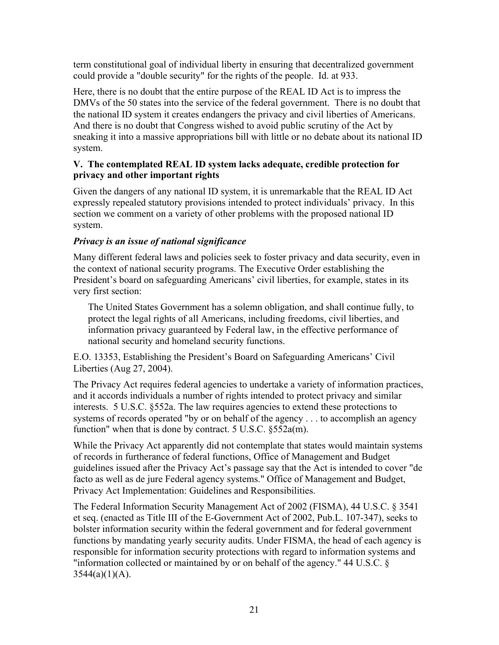term constitutional goal of individual liberty in ensuring that decentralized government could provide a "double security" for the rights of the people. Id. at 933.

Here, there is no doubt that the entire purpose of the REAL ID Act is to impress the DMVs of the 50 states into the service of the federal government. There is no doubt that the national ID system it creates endangers the privacy and civil liberties of Americans. And there is no doubt that Congress wished to avoid public scrutiny of the Act by sneaking it into a massive appropriations bill with little or no debate about its national ID system.

#### V. The contemplated REAL ID system lacks adequate, credible protection for privacy and other important rights

Given the dangers of any national ID system, it is unremarkable that the REAL ID Act expressly repealed statutory provisions intended to protect individuals' privacy. In this section we comment on a variety of other problems with the proposed national ID system.

## *Privacy is an issue of national significance*

Many different federal laws and policies seek to foster privacy and data security, even in the context of national security programs. The Executive Order establishing the President's board on safeguarding Americans' civil liberties, for example, states in its very first section:

The United States Government has a solemn obligation, and shall continue fully, to protect the legal rights of all Americans, including freedoms, civil liberties, and information privacy guaranteed by Federal law, in the effective performance of national security and homeland security functions.

E.O. 13353, Establishing the President's Board on Safeguarding Americans' Civil Liberties (Aug 27, 2004).

The Privacy Act requires federal agencies to undertake a variety of information practices, and it accords individuals a number of rights intended to protect privacy and similar interests. 5 U.S.C. §552a. The law requires agencies to extend these protections to systems of records operated "by or on behalf of the agency . . . to accomplish an agency function" when that is done by contract. 5 U.S.C. §552a(m).

While the Privacy Act apparently did not contemplate that states would maintain systems of records in furtherance of federal functions, Office of Management and Budget guidelines issued after the Privacy Act's passage say that the Act is intended to cover "de facto as well as de jure Federal agency systems." Office of Management and Budget, Privacy Act Implementation: Guidelines and Responsibilities.

The Federal Information Security Management Act of 2002 (FISMA), 44 U.S.C. § 3541 et seq. (enacted as Title III of the E-Government Act of 2002, Pub.L. 107-347), seeks to bolster information security within the federal government and for federal government functions by mandating yearly security audits. Under FISMA, the head of each agency is responsible for information security protections with regard to information systems and "information collected or maintained by or on behalf of the agency." 44 U.S.C. §  $3544(a)(1)(A)$ .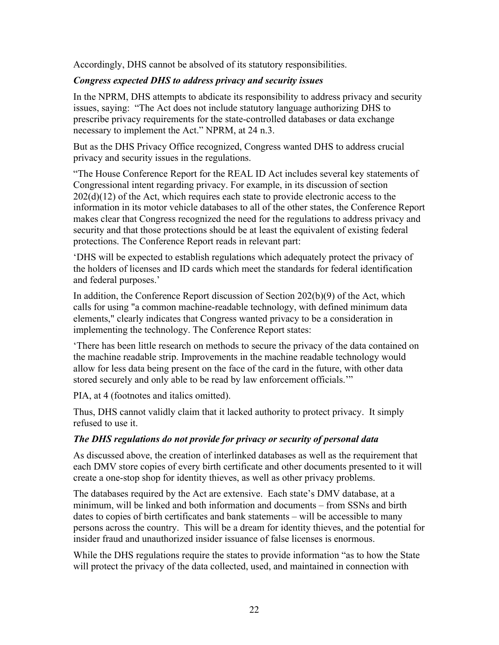Accordingly, DHS cannot be absolved of its statutory responsibilities.

#### *Congress expected DHS to address privacy and security issues*

In the NPRM, DHS attempts to abdicate its responsibility to address privacy and security issues, saying: "The Act does not include statutory language authorizing DHS to prescribe privacy requirements for the state-controlled databases or data exchange necessary to implement the Act." NPRM, at 24 n.3.

But as the DHS Privacy Office recognized, Congress wanted DHS to address crucial privacy and security issues in the regulations.

"The House Conference Report for the REAL ID Act includes several key statements of Congressional intent regarding privacy. For example, in its discussion of section  $202(d)(12)$  of the Act, which requires each state to provide electronic access to the information in its motor vehicle databases to all of the other states, the Conference Report makes clear that Congress recognized the need for the regulations to address privacy and security and that those protections should be at least the equivalent of existing federal protections. The Conference Report reads in relevant part:

'DHS will be expected to establish regulations which adequately protect the privacy of the holders of licenses and ID cards which meet the standards for federal identification and federal purposes.'

In addition, the Conference Report discussion of Section 202(b)(9) of the Act, which calls for using "a common machine-readable technology, with defined minimum data elements," clearly indicates that Congress wanted privacy to be a consideration in implementing the technology. The Conference Report states:

'There has been little research on methods to secure the privacy of the data contained on the machine readable strip. Improvements in the machine readable technology would allow for less data being present on the face of the card in the future, with other data stored securely and only able to be read by law enforcement officials.'"

PIA, at 4 (footnotes and italics omitted).

Thus, DHS cannot validly claim that it lacked authority to protect privacy. It simply refused to use it.

#### *The DHS regulations do not provide for privacy or security of personal data*

As discussed above, the creation of interlinked databases as well as the requirement that each DMV store copies of every birth certificate and other documents presented to it will create a one-stop shop for identity thieves, as well as other privacy problems.

The databases required by the Act are extensive. Each state's DMV database, at a minimum, will be linked and both information and documents – from SSNs and birth dates to copies of birth certificates and bank statements – will be accessible to many persons across the country. This will be a dream for identity thieves, and the potential for insider fraud and unauthorized insider issuance of false licenses is enormous.

While the DHS regulations require the states to provide information "as to how the State will protect the privacy of the data collected, used, and maintained in connection with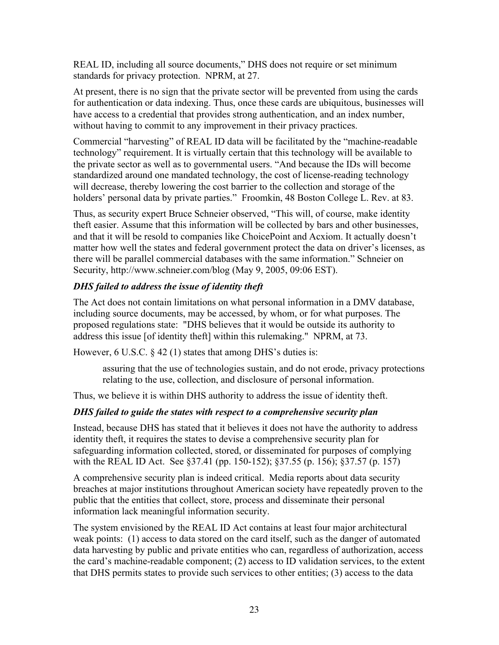REAL ID, including all source documents," DHS does not require or set minimum standards for privacy protection. NPRM, at 27.

At present, there is no sign that the private sector will be prevented from using the cards for authentication or data indexing. Thus, once these cards are ubiquitous, businesses will have access to a credential that provides strong authentication, and an index number, without having to commit to any improvement in their privacy practices.

Commercial "harvesting" of REAL ID data will be facilitated by the "machine-readable technology" requirement. It is virtually certain that this technology will be available to the private sector as well as to governmental users. "And because the IDs will become standardized around one mandated technology, the cost of license-reading technology will decrease, thereby lowering the cost barrier to the collection and storage of the holders' personal data by private parties." Froomkin, 48 Boston College L. Rev. at 83.

Thus, as security expert Bruce Schneier observed, "This will, of course, make identity theft easier. Assume that this information will be collected by bars and other businesses, and that it will be resold to companies like ChoicePoint and Acxiom. It actually doesn't matter how well the states and federal government protect the data on driver's licenses, as there will be parallel commercial databases with the same information." Schneier on Security, http://www.schneier.com/blog (May 9, 2005, 09:06 EST).

### *DHS failed to address the issue of identity theft*

The Act does not contain limitations on what personal information in a DMV database, including source documents, may be accessed, by whom, or for what purposes. The proposed regulations state: "DHS believes that it would be outside its authority to address this issue [of identity theft] within this rulemaking." NPRM, at 73.

However, 6 U.S.C.  $\S$  42 (1) states that among DHS's duties is:

assuring that the use of technologies sustain, and do not erode, privacy protections relating to the use, collection, and disclosure of personal information.

Thus, we believe it is within DHS authority to address the issue of identity theft.

#### *DHS failed to guide the states with respect to a comprehensive security plan*

Instead, because DHS has stated that it believes it does not have the authority to address identity theft, it requires the states to devise a comprehensive security plan for safeguarding information collected, stored, or disseminated for purposes of complying with the REAL ID Act. See §37.41 (pp. 150-152); §37.55 (p. 156); §37.57 (p. 157)

A comprehensive security plan is indeed critical. Media reports about data security breaches at major institutions throughout American society have repeatedly proven to the public that the entities that collect, store, process and disseminate their personal information lack meaningful information security.

The system envisioned by the REAL ID Act contains at least four major architectural weak points: (1) access to data stored on the card itself, such as the danger of automated data harvesting by public and private entities who can, regardless of authorization, access the card's machine-readable component; (2) access to ID validation services, to the extent that DHS permits states to provide such services to other entities; (3) access to the data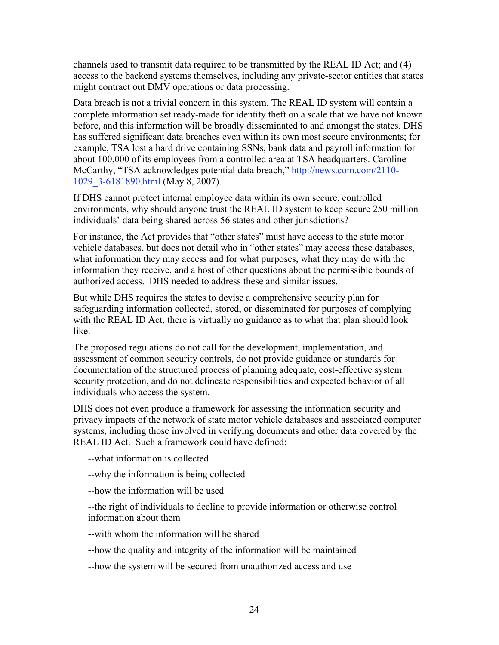channels used to transmit data required to be transmitted by the REAL ID Act; and (4) access to the backend systems themselves, including any private-sector entities that states might contract out DMV operations or data processing.

Data breach is not a trivial concern in this system. The REAL ID system will contain a complete information set ready-made for identity theft on a scale that we have not known before, and this information will be broadly disseminated to and amongst the states. DHS has suffered significant data breaches even within its own most secure environments; for example, TSA lost a hard drive containing SSNs, bank data and payroll information for about 100,000 of its employees from a controlled area at TSA headquarters. Caroline McCarthy, "TSA acknowledges potential data breach," http://news.com.com/2110-1029\_3-6181890.html (May 8, 2007).

If DHS cannot protect internal employee data within its own secure, controlled environments, why should anyone trust the REAL ID system to keep secure 250 million individuals' data being shared across 56 states and other jurisdictions?

For instance, the Act provides that "other states" must have access to the state motor vehicle databases, but does not detail who in "other states" may access these databases, what information they may access and for what purposes, what they may do with the information they receive, and a host of other questions about the permissible bounds of authorized access. DHS needed to address these and similar issues.

But while DHS requires the states to devise a comprehensive security plan for safeguarding information collected, stored, or disseminated for purposes of complying with the REAL ID Act, there is virtually no guidance as to what that plan should look like.

The proposed regulations do not call for the development, implementation, and assessment of common security controls, do not provide guidance or standards for documentation of the structured process of planning adequate, cost-effective system security protection, and do not delineate responsibilities and expected behavior of all individuals who access the system.

DHS does not even produce a framework for assessing the information security and privacy impacts of the network of state motor vehicle databases and associated computer systems, including those involved in verifying documents and other data covered by the REAL ID Act. Such a framework could have defined:

--what information is collected

--why the information is being collected

--how the information will be used

--the right of individuals to decline to provide information or otherwise control information about them

--with whom the information will be shared

--how the quality and integrity of the information will be maintained

--how the system will be secured from unauthorized access and use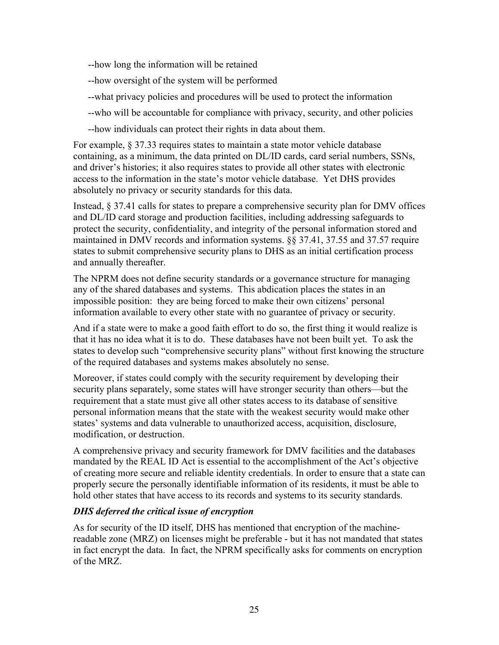--how long the information will be retained

--how oversight of the system will be performed

- --what privacy policies and procedures will be used to protect the information
- --who will be accountable for compliance with privacy, security, and other policies
- --how individuals can protect their rights in data about them.

For example, § 37.33 requires states to maintain a state motor vehicle database containing, as a minimum, the data printed on DL/ID cards, card serial numbers, SSNs, and driver's histories; it also requires states to provide all other states with electronic access to the information in the state's motor vehicle database. Yet DHS provides absolutely no privacy or security standards for this data.

Instead, § 37.41 calls for states to prepare a comprehensive security plan for DMV offices and DL/ID card storage and production facilities, including addressing safeguards to protect the security, confidentiality, and integrity of the personal information stored and maintained in DMV records and information systems. §§ 37.41, 37.55 and 37.57 require states to submit comprehensive security plans to DHS as an initial certification process and annually thereafter.

The NPRM does not define security standards or a governance structure for managing any of the shared databases and systems. This abdication places the states in an impossible position: they are being forced to make their own citizens' personal information available to every other state with no guarantee of privacy or security.

And if a state were to make a good faith effort to do so, the first thing it would realize is that it has no idea what it is to do. These databases have not been built yet. To ask the states to develop such "comprehensive security plans" without first knowing the structure of the required databases and systems makes absolutely no sense.

Moreover, if states could comply with the security requirement by developing their security plans separately, some states will have stronger security than others—but the requirement that a state must give all other states access to its database of sensitive personal information means that the state with the weakest security would make other states' systems and data vulnerable to unauthorized access, acquisition, disclosure, modification, or destruction.

A comprehensive privacy and security framework for DMV facilities and the databases mandated by the REAL ID Act is essential to the accomplishment of the Act's objective of creating more secure and reliable identity credentials. In order to ensure that a state can properly secure the personally identifiable information of its residents, it must be able to hold other states that have access to its records and systems to its security standards.

#### *DHS deferred the critical issue of encryption*

As for security of the ID itself, DHS has mentioned that encryption of the machinereadable zone (MRZ) on licenses might be preferable - but it has not mandated that states in fact encrypt the data. In fact, the NPRM specifically asks for comments on encryption of the MRZ.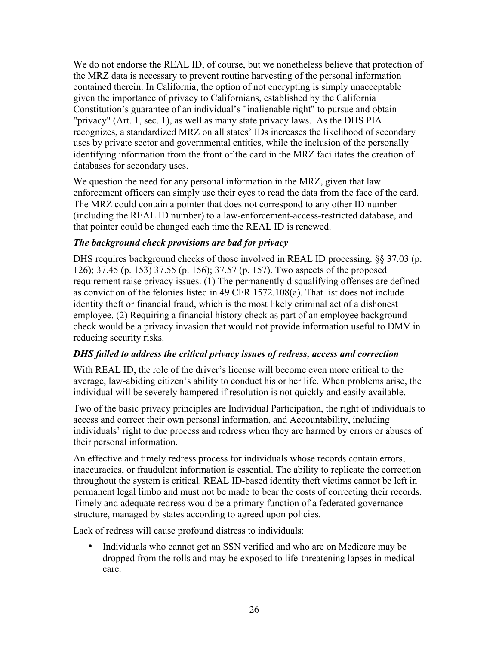We do not endorse the REAL ID, of course, but we nonetheless believe that protection of the MRZ data is necessary to prevent routine harvesting of the personal information contained therein. In California, the option of not encrypting is simply unacceptable given the importance of privacy to Californians, established by the California Constitution's guarantee of an individual's "inalienable right" to pursue and obtain "privacy" (Art. 1, sec. 1), as well as many state privacy laws. As the DHS PIA recognizes, a standardized MRZ on all states' IDs increases the likelihood of secondary uses by private sector and governmental entities, while the inclusion of the personally identifying information from the front of the card in the MRZ facilitates the creation of databases for secondary uses.

We question the need for any personal information in the MRZ, given that law enforcement officers can simply use their eyes to read the data from the face of the card. The MRZ could contain a pointer that does not correspond to any other ID number (including the REAL ID number) to a law-enforcement-access-restricted database, and that pointer could be changed each time the REAL ID is renewed.

#### *The background check provisions are bad for privacy*

DHS requires background checks of those involved in REAL ID processing. §§ 37.03 (p. 126); 37.45 (p. 153) 37.55 (p. 156); 37.57 (p. 157). Two aspects of the proposed requirement raise privacy issues. (1) The permanently disqualifying offenses are defined as conviction of the felonies listed in 49 CFR 1572.108(a). That list does not include identity theft or financial fraud, which is the most likely criminal act of a dishonest employee. (2) Requiring a financial history check as part of an employee background check would be a privacy invasion that would not provide information useful to DMV in reducing security risks.

#### *DHS failed to address the critical privacy issues of redress, access and correction*

With REAL ID, the role of the driver's license will become even more critical to the average, law-abiding citizen's ability to conduct his or her life. When problems arise, the individual will be severely hampered if resolution is not quickly and easily available.

Two of the basic privacy principles are Individual Participation, the right of individuals to access and correct their own personal information, and Accountability, including individuals' right to due process and redress when they are harmed by errors or abuses of their personal information.

An effective and timely redress process for individuals whose records contain errors, inaccuracies, or fraudulent information is essential. The ability to replicate the correction throughout the system is critical. REAL ID-based identity theft victims cannot be left in permanent legal limbo and must not be made to bear the costs of correcting their records. Timely and adequate redress would be a primary function of a federated governance structure, managed by states according to agreed upon policies.

Lack of redress will cause profound distress to individuals:

• Individuals who cannot get an SSN verified and who are on Medicare may be dropped from the rolls and may be exposed to life-threatening lapses in medical care.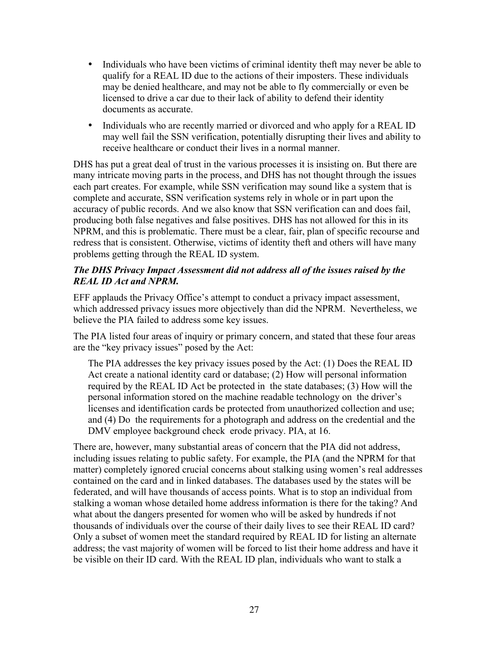- Individuals who have been victims of criminal identity theft may never be able to qualify for a REAL ID due to the actions of their imposters. These individuals may be denied healthcare, and may not be able to fly commercially or even be licensed to drive a car due to their lack of ability to defend their identity documents as accurate.
- Individuals who are recently married or divorced and who apply for a REAL ID may well fail the SSN verification, potentially disrupting their lives and ability to receive healthcare or conduct their lives in a normal manner.

DHS has put a great deal of trust in the various processes it is insisting on. But there are many intricate moving parts in the process, and DHS has not thought through the issues each part creates. For example, while SSN verification may sound like a system that is complete and accurate, SSN verification systems rely in whole or in part upon the accuracy of public records. And we also know that SSN verification can and does fail, producing both false negatives and false positives. DHS has not allowed for this in its NPRM, and this is problematic. There must be a clear, fair, plan of specific recourse and redress that is consistent. Otherwise, victims of identity theft and others will have many problems getting through the REAL ID system.

#### *The DHS Privacy Impact Assessment did not address all of the issues raised by the REAL ID Act and NPRM.*

EFF applauds the Privacy Office's attempt to conduct a privacy impact assessment, which addressed privacy issues more objectively than did the NPRM. Nevertheless, we believe the PIA failed to address some key issues.

The PIA listed four areas of inquiry or primary concern, and stated that these four areas are the "key privacy issues" posed by the Act:

The PIA addresses the key privacy issues posed by the Act: (1) Does the REAL ID Act create a national identity card or database; (2) How will personal information required by the REAL ID Act be protected in the state databases; (3) How will the personal information stored on the machine readable technology on the driver's licenses and identification cards be protected from unauthorized collection and use; and (4) Do the requirements for a photograph and address on the credential and the DMV employee background check erode privacy. PIA, at 16.

There are, however, many substantial areas of concern that the PIA did not address, including issues relating to public safety. For example, the PIA (and the NPRM for that matter) completely ignored crucial concerns about stalking using women's real addresses contained on the card and in linked databases. The databases used by the states will be federated, and will have thousands of access points. What is to stop an individual from stalking a woman whose detailed home address information is there for the taking? And what about the dangers presented for women who will be asked by hundreds if not thousands of individuals over the course of their daily lives to see their REAL ID card? Only a subset of women meet the standard required by REAL ID for listing an alternate address; the vast majority of women will be forced to list their home address and have it be visible on their ID card. With the REAL ID plan, individuals who want to stalk a